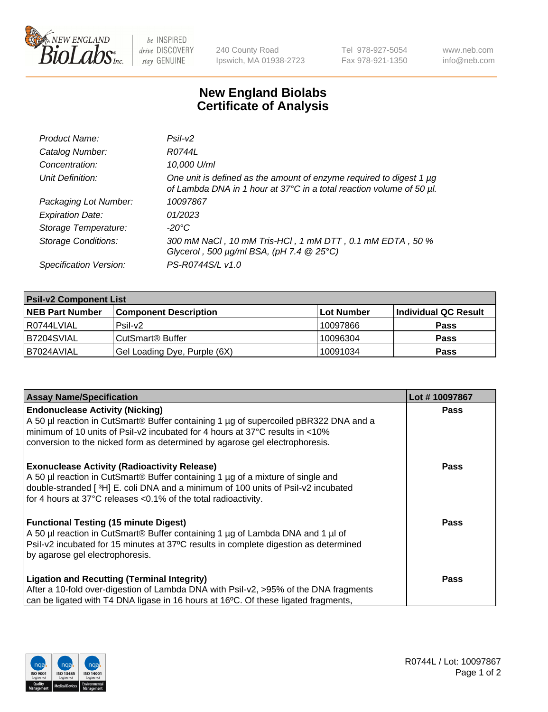

 $be$  INSPIRED drive DISCOVERY stay GENUINE

240 County Road Ipswich, MA 01938-2723 Tel 978-927-5054 Fax 978-921-1350 www.neb.com info@neb.com

## **New England Biolabs Certificate of Analysis**

| Product Name:              | Psi2                                                                                                                                        |
|----------------------------|---------------------------------------------------------------------------------------------------------------------------------------------|
| Catalog Number:            | R0744L                                                                                                                                      |
| Concentration:             | 10,000 U/ml                                                                                                                                 |
| Unit Definition:           | One unit is defined as the amount of enzyme required to digest 1 µg<br>of Lambda DNA in 1 hour at 37°C in a total reaction volume of 50 µl. |
| Packaging Lot Number:      | 10097867                                                                                                                                    |
| <b>Expiration Date:</b>    | 01/2023                                                                                                                                     |
| Storage Temperature:       | $-20^{\circ}$ C                                                                                                                             |
| <b>Storage Conditions:</b> | 300 mM NaCl, 10 mM Tris-HCl, 1 mM DTT, 0.1 mM EDTA, 50 %<br>Glycerol, 500 $\mu$ g/ml BSA, (pH 7.4 $@25°C$ )                                 |
| Specification Version:     | PS-R0744S/L v1.0                                                                                                                            |

| <b>Psil-v2 Component List</b> |                              |            |                      |  |  |
|-------------------------------|------------------------------|------------|----------------------|--|--|
| <b>NEB Part Number</b>        | <b>Component Description</b> | Lot Number | Individual QC Result |  |  |
| l R0744LVIAL                  | $P$ sil-v $2$                | 10097866   | <b>Pass</b>          |  |  |
| IB7204SVIAL                   | CutSmart <sup>®</sup> Buffer | 10096304   | <b>Pass</b>          |  |  |
| I B7024AVIAL                  | Gel Loading Dye, Purple (6X) | 10091034   | <b>Pass</b>          |  |  |

| <b>Assay Name/Specification</b>                                                              | Lot #10097867 |
|----------------------------------------------------------------------------------------------|---------------|
| <b>Endonuclease Activity (Nicking)</b>                                                       | <b>Pass</b>   |
| A 50 µl reaction in CutSmart® Buffer containing 1 µg of supercoiled pBR322 DNA and a         |               |
| minimum of 10 units of Psil-v2 incubated for 4 hours at 37°C results in <10%                 |               |
| conversion to the nicked form as determined by agarose gel electrophoresis.                  |               |
| <b>Exonuclease Activity (Radioactivity Release)</b>                                          | <b>Pass</b>   |
| A 50 µl reaction in CutSmart® Buffer containing 1 µg of a mixture of single and              |               |
| double-stranded [3H] E. coli DNA and a minimum of 100 units of Psil-v2 incubated             |               |
| for 4 hours at 37°C releases <0.1% of the total radioactivity.                               |               |
| <b>Functional Testing (15 minute Digest)</b>                                                 | Pass          |
| A 50 µl reaction in CutSmart® Buffer containing 1 µg of Lambda DNA and 1 µl of               |               |
| Psil-v2 incubated for 15 minutes at 37°C results in complete digestion as determined         |               |
| by agarose gel electrophoresis.                                                              |               |
| <b>Ligation and Recutting (Terminal Integrity)</b>                                           | <b>Pass</b>   |
| After a 10-fold over-digestion of Lambda DNA with Psil-v2, >95% of the DNA fragments         |               |
| can be ligated with T4 DNA ligase in 16 hours at 16 $\degree$ C. Of these ligated fragments, |               |